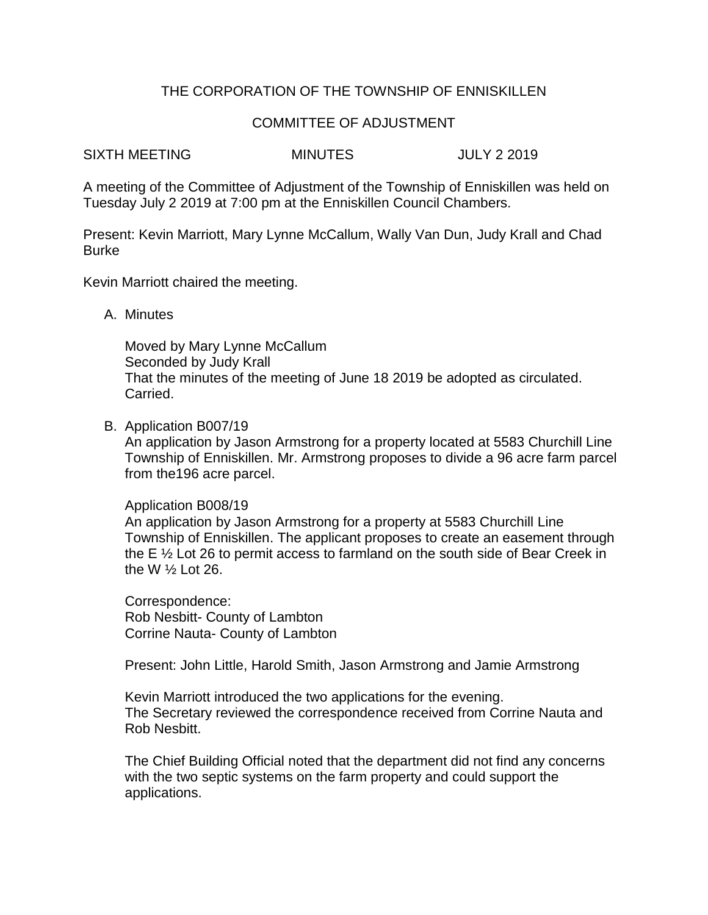# THE CORPORATION OF THE TOWNSHIP OF ENNISKILLEN

## COMMITTEE OF ADJUSTMENT

SIXTH MEETING MINUTES JULY 2 2019

A meeting of the Committee of Adjustment of the Township of Enniskillen was held on Tuesday July 2 2019 at 7:00 pm at the Enniskillen Council Chambers.

Present: Kevin Marriott, Mary Lynne McCallum, Wally Van Dun, Judy Krall and Chad Burke

Kevin Marriott chaired the meeting.

A. Minutes

Moved by Mary Lynne McCallum Seconded by Judy Krall That the minutes of the meeting of June 18 2019 be adopted as circulated. Carried.

B. Application B007/19

An application by Jason Armstrong for a property located at 5583 Churchill Line Township of Enniskillen. Mr. Armstrong proposes to divide a 96 acre farm parcel from the196 acre parcel.

Application B008/19

An application by Jason Armstrong for a property at 5583 Churchill Line Township of Enniskillen. The applicant proposes to create an easement through the E ½ Lot 26 to permit access to farmland on the south side of Bear Creek in the W ½ Lot 26.

Correspondence: Rob Nesbitt- County of Lambton Corrine Nauta- County of Lambton

Present: John Little, Harold Smith, Jason Armstrong and Jamie Armstrong

Kevin Marriott introduced the two applications for the evening. The Secretary reviewed the correspondence received from Corrine Nauta and Rob Nesbitt.

The Chief Building Official noted that the department did not find any concerns with the two septic systems on the farm property and could support the applications.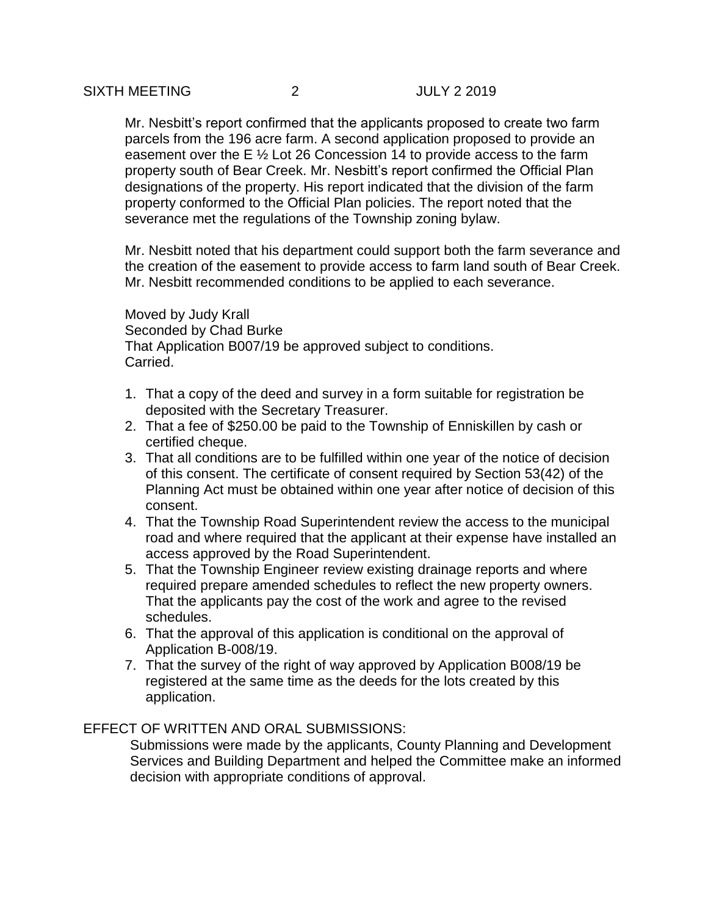Mr. Nesbitt's report confirmed that the applicants proposed to create two farm parcels from the 196 acre farm. A second application proposed to provide an easement over the E ½ Lot 26 Concession 14 to provide access to the farm property south of Bear Creek. Mr. Nesbitt's report confirmed the Official Plan designations of the property. His report indicated that the division of the farm property conformed to the Official Plan policies. The report noted that the severance met the regulations of the Township zoning bylaw.

Mr. Nesbitt noted that his department could support both the farm severance and the creation of the easement to provide access to farm land south of Bear Creek. Mr. Nesbitt recommended conditions to be applied to each severance.

Moved by Judy Krall Seconded by Chad Burke That Application B007/19 be approved subject to conditions. Carried.

- 1. That a copy of the deed and survey in a form suitable for registration be deposited with the Secretary Treasurer.
- 2. That a fee of \$250.00 be paid to the Township of Enniskillen by cash or certified cheque.
- 3. That all conditions are to be fulfilled within one year of the notice of decision of this consent. The certificate of consent required by Section 53(42) of the Planning Act must be obtained within one year after notice of decision of this consent.
- 4. That the Township Road Superintendent review the access to the municipal road and where required that the applicant at their expense have installed an access approved by the Road Superintendent.
- 5. That the Township Engineer review existing drainage reports and where required prepare amended schedules to reflect the new property owners. That the applicants pay the cost of the work and agree to the revised schedules.
- 6. That the approval of this application is conditional on the approval of Application B-008/19.
- 7. That the survey of the right of way approved by Application B008/19 be registered at the same time as the deeds for the lots created by this application.

# EFFECT OF WRITTEN AND ORAL SUBMISSIONS:

Submissions were made by the applicants, County Planning and Development Services and Building Department and helped the Committee make an informed decision with appropriate conditions of approval.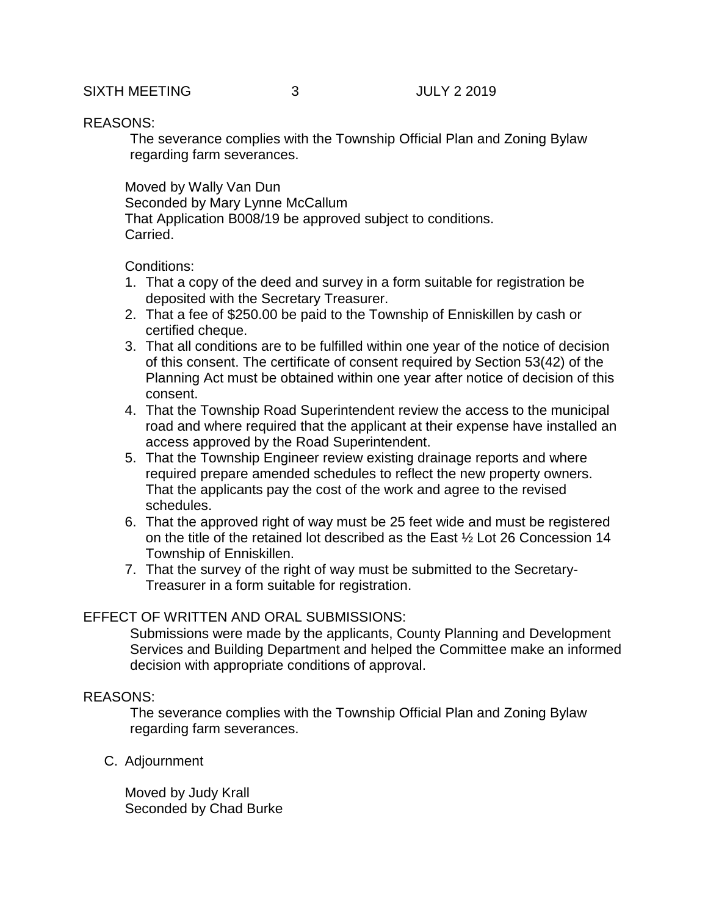## SIXTH MEETING 3 JULY 2 2019

#### REASONS:

The severance complies with the Township Official Plan and Zoning Bylaw regarding farm severances.

Moved by Wally Van Dun Seconded by Mary Lynne McCallum That Application B008/19 be approved subject to conditions. Carried.

### Conditions:

- 1. That a copy of the deed and survey in a form suitable for registration be deposited with the Secretary Treasurer.
- 2. That a fee of \$250.00 be paid to the Township of Enniskillen by cash or certified cheque.
- 3. That all conditions are to be fulfilled within one year of the notice of decision of this consent. The certificate of consent required by Section 53(42) of the Planning Act must be obtained within one year after notice of decision of this consent.
- 4. That the Township Road Superintendent review the access to the municipal road and where required that the applicant at their expense have installed an access approved by the Road Superintendent.
- 5. That the Township Engineer review existing drainage reports and where required prepare amended schedules to reflect the new property owners. That the applicants pay the cost of the work and agree to the revised schedules.
- 6. That the approved right of way must be 25 feet wide and must be registered on the title of the retained lot described as the East ½ Lot 26 Concession 14 Township of Enniskillen.
- 7. That the survey of the right of way must be submitted to the Secretary-Treasurer in a form suitable for registration.

# EFFECT OF WRITTEN AND ORAL SUBMISSIONS:

Submissions were made by the applicants, County Planning and Development Services and Building Department and helped the Committee make an informed decision with appropriate conditions of approval.

## REASONS:

The severance complies with the Township Official Plan and Zoning Bylaw regarding farm severances.

C. Adjournment

Moved by Judy Krall Seconded by Chad Burke